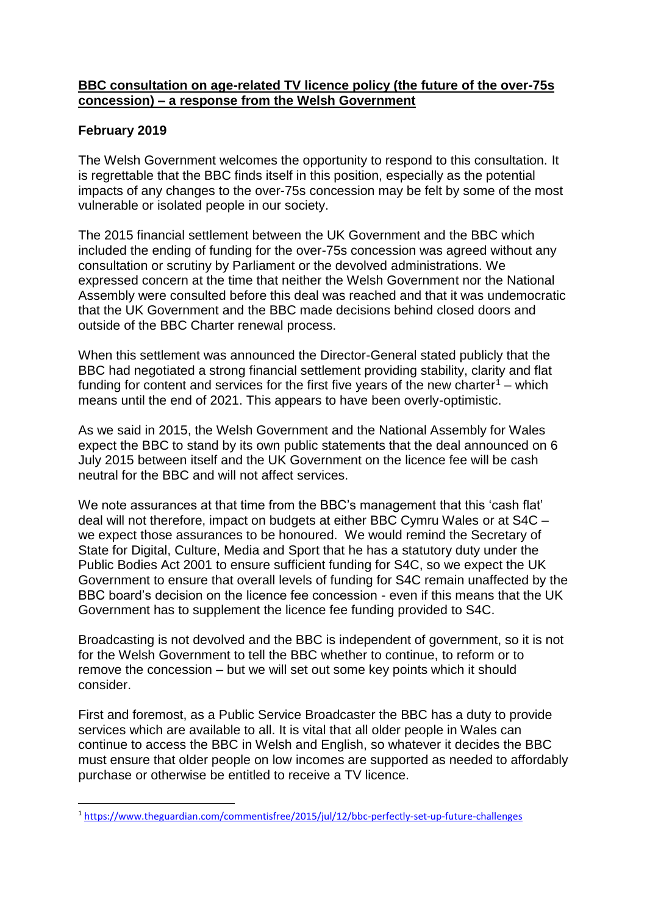## **BBC consultation on age-related TV licence policy (the future of the over-75s concession) – a response from the Welsh Government**

## **February 2019**

**.** 

The Welsh Government welcomes the opportunity to respond to this consultation. It is regrettable that the BBC finds itself in this position, especially as the potential impacts of any changes to the over-75s concession may be felt by some of the most vulnerable or isolated people in our society.

The 2015 financial settlement between the UK Government and the BBC which included the ending of funding for the over-75s concession was agreed without any consultation or scrutiny by Parliament or the devolved administrations. We expressed concern at the time that neither the Welsh Government nor the National Assembly were consulted before this deal was reached and that it was undemocratic that the UK Government and the BBC made decisions behind closed doors and outside of the BBC Charter renewal process.

When this settlement was announced the Director-General stated publicly that the BBC had negotiated a strong financial settlement providing stability, clarity and flat funding for content and services for the first five years of the new charter<sup>1</sup> – which means until the end of 2021. This appears to have been overly-optimistic.

As we said in 2015, the Welsh Government and the National Assembly for Wales expect the BBC to stand by its own public statements that the deal announced on 6 July 2015 between itself and the UK Government on the licence fee will be cash neutral for the BBC and will not affect services.

We note assurances at that time from the BBC's management that this 'cash flat' deal will not therefore, impact on budgets at either BBC Cymru Wales or at S4C – we expect those assurances to be honoured. We would remind the Secretary of State for Digital, Culture, Media and Sport that he has a statutory duty under the Public Bodies Act 2001 to ensure sufficient funding for S4C, so we expect the UK Government to ensure that overall levels of funding for S4C remain unaffected by the BBC board's decision on the licence fee concession - even if this means that the UK Government has to supplement the licence fee funding provided to S4C.

Broadcasting is not devolved and the BBC is independent of government, so it is not for the Welsh Government to tell the BBC whether to continue, to reform or to remove the concession – but we will set out some key points which it should consider.

First and foremost, as a Public Service Broadcaster the BBC has a duty to provide services which are available to all. It is vital that all older people in Wales can continue to access the BBC in Welsh and English, so whatever it decides the BBC must ensure that older people on low incomes are supported as needed to affordably purchase or otherwise be entitled to receive a TV licence.

<sup>1</sup> <https://www.theguardian.com/commentisfree/2015/jul/12/bbc-perfectly-set-up-future-challenges>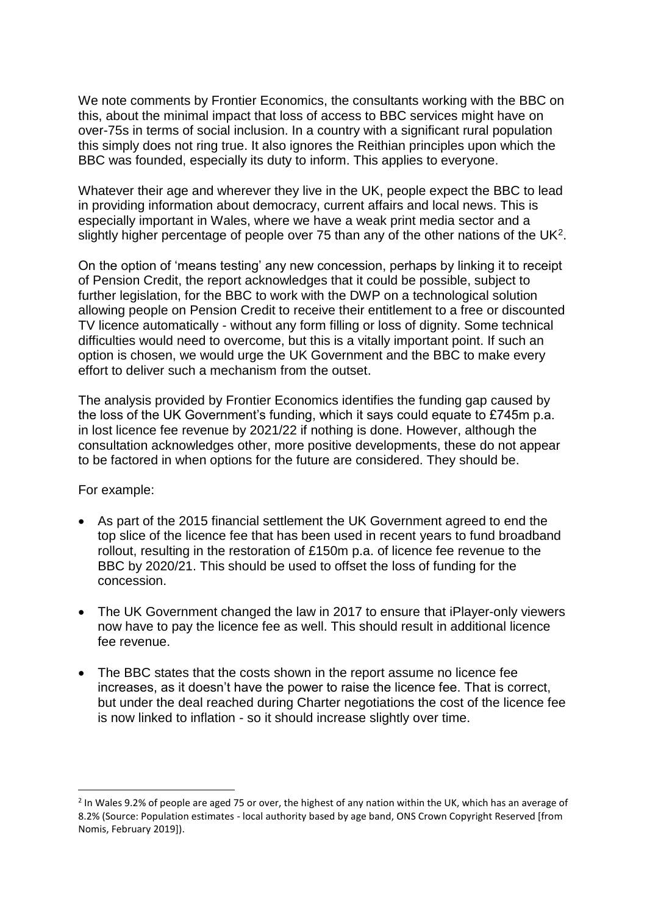We note comments by Frontier Economics, the consultants working with the BBC on this, about the minimal impact that loss of access to BBC services might have on over-75s in terms of social inclusion. In a country with a significant rural population this simply does not ring true. It also ignores the Reithian principles upon which the BBC was founded, especially its duty to inform. This applies to everyone.

Whatever their age and wherever they live in the UK, people expect the BBC to lead in providing information about democracy, current affairs and local news. This is especially important in Wales, where we have a weak print media sector and a slightly higher percentage of people over 75 than any of the other nations of the UK<sup>2</sup>.

On the option of 'means testing' any new concession, perhaps by linking it to receipt of Pension Credit, the report acknowledges that it could be possible, subject to further legislation, for the BBC to work with the DWP on a technological solution allowing people on Pension Credit to receive their entitlement to a free or discounted TV licence automatically - without any form filling or loss of dignity. Some technical difficulties would need to overcome, but this is a vitally important point. If such an option is chosen, we would urge the UK Government and the BBC to make every effort to deliver such a mechanism from the outset.

The analysis provided by Frontier Economics identifies the funding gap caused by the loss of the UK Government's funding, which it says could equate to £745m p.a. in lost licence fee revenue by 2021/22 if nothing is done. However, although the consultation acknowledges other, more positive developments, these do not appear to be factored in when options for the future are considered. They should be.

For example:

**.** 

- As part of the 2015 financial settlement the UK Government agreed to end the top slice of the licence fee that has been used in recent years to fund broadband rollout, resulting in the restoration of £150m p.a. of licence fee revenue to the BBC by 2020/21. This should be used to offset the loss of funding for the concession.
- The UK Government changed the law in 2017 to ensure that iPlayer-only viewers now have to pay the licence fee as well. This should result in additional licence fee revenue.
- The BBC states that the costs shown in the report assume no licence fee increases, as it doesn't have the power to raise the licence fee. That is correct, but under the deal reached during Charter negotiations the cost of the licence fee is now linked to inflation - so it should increase slightly over time.

<sup>&</sup>lt;sup>2</sup> In Wales 9.2% of people are aged 75 or over, the highest of any nation within the UK, which has an average of 8.2% (Source: Population estimates - local authority based by age band, ONS Crown Copyright Reserved [from Nomis, February 2019]).